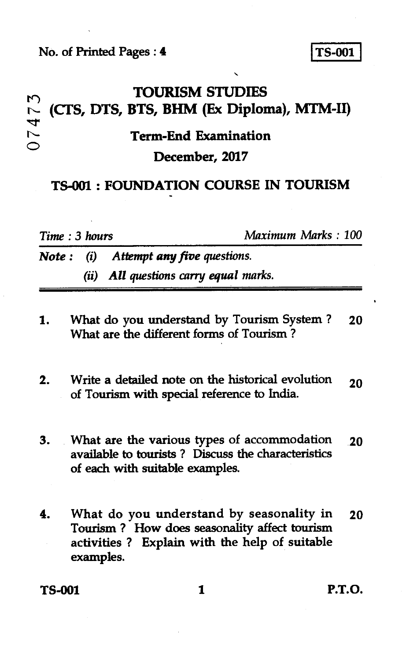# TOURISM STUDIES<br>(CTS, DTS, BTS, BHM (Ex Diploma), MTM-II) **Term-End Examination**  07473 **December, 2017**

## **TS-00I : FOUNDATION COURSE IN TOURISM**

*Time* **:** *3 hours Maximum Marks : 100* 

*Note : (i) Attempt any five questions. (ii) All questions carry equal marks.* 

- **1. What do you understand by Tourism System ? 20 What are the different forms of Tourism ?**
- **2. Write a detailed note on the historical evolution** 20 **of Tourism with special reference to India.**
- **3. What are the various types of accommodation 20 available to tourists ? Discuss the characteristics of each with suitable examples.**
- **4. What do you understand by seasonality in 20 Tourism ? How does seasonality affect tourism activities ? Explain with the help of suitable examples.**

**TS-001 1 P.T.O.**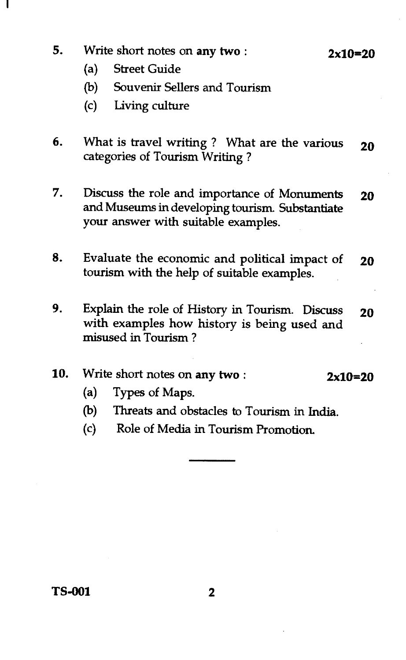**5.** Write short notes on any **two : 2x10=20** 

- (a) Street Guide
- (b) Souvenir Sellers and Tourism
- (c) Living culture
- 6. What is travel writing ? What are the various **20**  categories of Tourism Writing ?
- 7. Discuss the role and importance of Monuments **20**  and Museums in developing tourism. Substantiate your answer with suitable examples.
- 8. Evaluate the economic and political impact of **20**  tourism with the help of suitable examples.
- 9. Explain the role of History in Tourism. Discuss **20**  with examples how history is being used and misused in Tourism ?

#### 10. Write short notes on **any two : 2x10=20**

- (a) Types of Maps.
- (b) Threats and obstacles to Tourism in India.
- (c) Role of Media in Tourism Promotion.

**TS-001 2**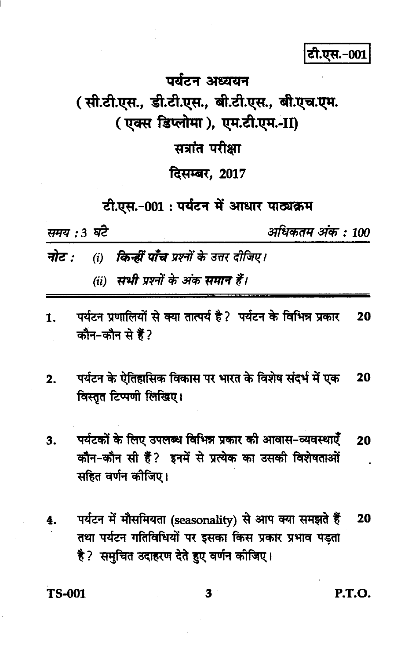### टी.एस.-001

## पर्यटन अध्ययन ( सी.टी.एस., डी.टी.एस., बी.टी.एस., बी.एच.एम. ( एक्स डिप्लोमा ), एम.टी.एम.-II) सत्रांत परीक्षा दिसम्बर, 2017

टी.एस.-001: पर्यटन में आधार पाठ्यक्रम

समय : 3 घंटे

अधिकतम अंक : 100

- (i) **किन्हीं पाँच** प्रश्नों के उत्तर दीजिए। नोट :
	- (ii) सभी प्रश्नों के अंक समान हैं।
- पर्यटन प्रणालियों से क्या तात्पर्य है? पर्यटन के विभिन्न प्रकार  $\mathbf{1}$ 20 कौन-कौन से हैं?
- पर्यटन के ऐतिहासिक विकास पर भारत के विशेष संदर्भ में एक  $2.$ 20 विस्तृत टिप्पणी लिखिए।
- पर्यटकों के लिए उपलब्ध विभिन्न प्रकार की आवास-व्यवस्थाएँ 3. 20 कौन-कौन सी हैं? इनमें से प्रत्येक का उसकी विशेषताओं सहित वर्णन कीजिए।
- पर्यटन में मौसमियता (seasonality) से आप क्या समझते हैं 20 4. तथा पर्यटन गतिविधियों पर इसका किस प्रकार प्रभाव पड़ता है ? समुचित उदाहरण देते हुए वर्णन कीजिए।

**TS-001** 

P.T.O.